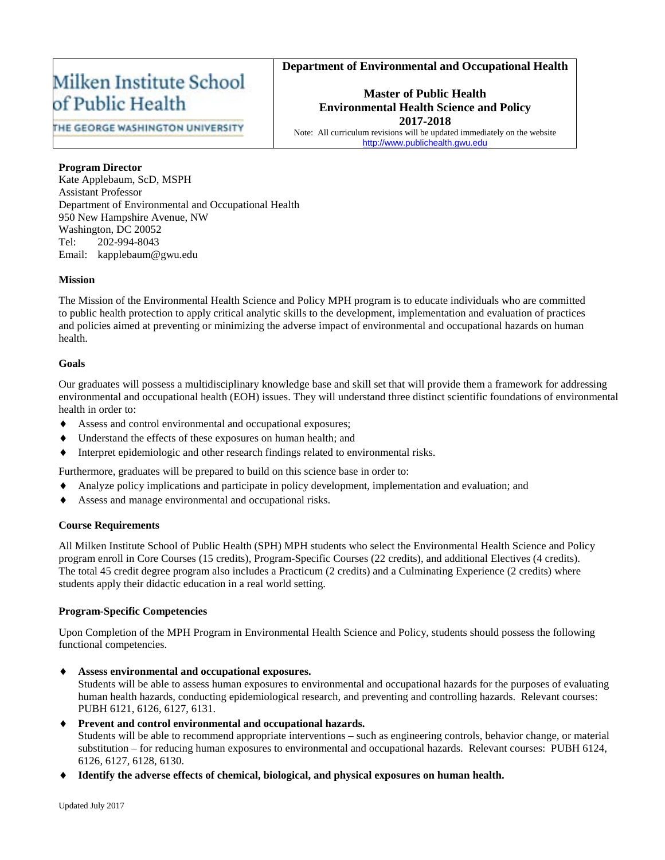# **Department of Environmental and Occupational Health**

# Milken Institute School of Public Health

THE GEORGE WASHINGTON UNIVERSITY

**Master of Public Health Environmental Health Science and Policy 2017-2018**

Note: All curriculum revisions will be updated immediately on the website http://www.publichealth.gwu

# **Program Director**

Kate Applebaum, ScD, MSPH Assistant Professor Department of Environmental and Occupational Health 950 New Hampshire Avenue, NW Washington, DC 20052 Tel: 202-994-8043 Email: kapplebaum@gwu.edu

### **Mission**

The Mission of the Environmental Health Science and Policy MPH program is to educate individuals who are committed to public health protection to apply critical analytic skills to the development, implementation and evaluation of practices and policies aimed at preventing or minimizing the adverse impact of environmental and occupational hazards on human health.

### **Goals**

Our graduates will possess a multidisciplinary knowledge base and skill set that will provide them a framework for addressing environmental and occupational health (EOH) issues. They will understand three distinct scientific foundations of environmental health in order to:

- Assess and control environmental and occupational exposures;
- Understand the effects of these exposures on human health; and
- Interpret epidemiologic and other research findings related to environmental risks.

Furthermore, graduates will be prepared to build on this science base in order to:

- Analyze policy implications and participate in policy development, implementation and evaluation; and
- Assess and manage environmental and occupational risks.

### **Course Requirements**

All Milken Institute School of Public Health (SPH) MPH students who select the Environmental Health Science and Policy program enroll in Core Courses (15 credits), Program-Specific Courses (22 credits), and additional Electives (4 credits). The total 45 credit degree program also includes a Practicum (2 credits) and a Culminating Experience (2 credits) where students apply their didactic education in a real world setting.

### **Program-Specific Competencies**

Upon Completion of the MPH Program in Environmental Health Science and Policy, students should possess the following functional competencies.

♦ **Assess environmental and occupational exposures.**

Students will be able to assess human exposures to environmental and occupational hazards for the purposes of evaluating human health hazards, conducting epidemiological research, and preventing and controlling hazards. Relevant courses: PUBH 6121, 6126, 6127, 6131.

♦ **Prevent and control environmental and occupational hazards.**

Students will be able to recommend appropriate interventions – such as engineering controls, behavior change, or material substitution – for reducing human exposures to environmental and occupational hazards. Relevant courses: PUBH 6124, 6126, 6127, 6128, 6130.

Identify the adverse effects of chemical, biological, and physical exposures on human health.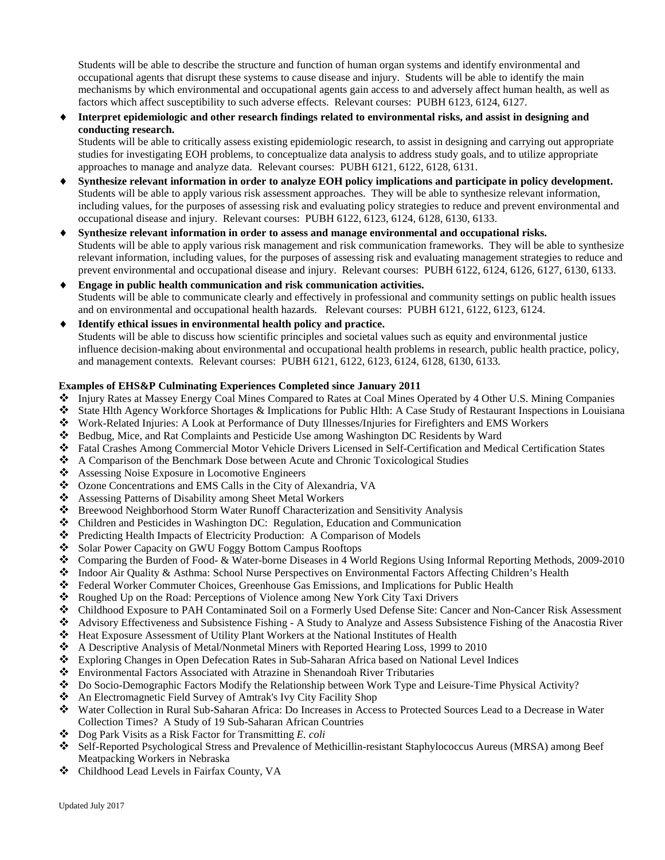Students will be able to describe the structure and function of human organ systems and identify environmental and occupational agents that disrupt these systems to cause disease and injury. Students will be able to identify the main mechanisms by which environmental and occupational agents gain access to and adversely affect human health, as well as factors which affect susceptibility to such adverse effects. Relevant courses: PUBH 6123, 6124, 6127.

Interpret epidemiologic and other research findings related to environmental risks, and assist in designing and **conducting research.**

Students will be able to critically assess existing epidemiologic research, to assist in designing and carrying out appropriate studies for investigating EOH problems, to conceptualize data analysis to address study goals, and to utilize appropriate approaches to manage and analyze data. Relevant courses: PUBH 6121, 6122, 6128, 6131.

- Synthesize relevant information in order to analyze EOH policy implications and participate in policy development. Students will be able to apply various risk assessment approaches. They will be able to synthesize relevant information, including values, for the purposes of assessing risk and evaluating policy strategies to reduce and prevent environmental and occupational disease and injury. Relevant courses: PUBH 6122, 6123, 6124, 6128, 6130, 6133.
- Synthesize relevant information in order to assess and manage environmental and occupational risks. Students will be able to apply various risk management and risk communication frameworks. They will be able to synthesize relevant information, including values, for the purposes of assessing risk and evaluating management strategies to reduce and prevent environmental and occupational disease and injury. Relevant courses: PUBH 6122, 6124, 6126, 6127, 6130, 6133.
- **Engage in public health communication and risk communication activities.** Students will be able to communicate clearly and effectively in professional and community settings on public health issues and on environmental and occupational health hazards. Relevant courses: PUBH 6121, 6122, 6123, 6124.
- ♦ **Identify ethical issues in environmental health policy and practice.** Students will be able to discuss how scientific principles and societal values such as equity and environmental justice influence decision-making about environmental and occupational health problems in research, public health practice, policy, and management contexts. Relevant courses: PUBH 6121, 6122, 6123, 6124, 6128, 6130, 6133.

#### **Examples of EHS&P Culminating Experiences Completed since January 2011**

- Injury Rates at Massey Energy Coal Mines Compared to Rates at Coal Mines Operated by 4 Other U.S. Mining Companies
- State Hlth Agency Workforce Shortages & Implications for Public Hlth: A Case Study of Restaurant Inspections in Louisiana
- Work-Related Injuries: A Look at Performance of Duty Illnesses/Injuries for Firefighters and EMS Workers
- Bedbug, Mice, and Rat Complaints and Pesticide Use among Washington DC Residents by Ward
- Fatal Crashes Among Commercial Motor Vehicle Drivers Licensed in Self-Certification and Medical Certification States
- A Comparison of the Benchmark Dose between Acute and Chronic Toxicological Studies<br>
Assessing Noise Exposure in Locomotive Engineers
- Assessing Noise Exposure in Locomotive Engineers
- Ozone Concentrations and EMS Calls in the City of Alexandria, VA
- Assessing Patterns of Disability among Sheet Metal Workers
- Breewood Neighborhood Storm Water Runoff Characterization and Sensitivity Analysis
- Children and Pesticides in Washington DC: Regulation, Education and Communication
- Predicting Health Impacts of Electricity Production: A Comparison of Models
- Solar Power Capacity on GWU Foggy Bottom Campus Rooftops
- Comparing the Burden of Food- & Water-borne Diseases in 4 World Regions Using Informal Reporting Methods, 2009-2010
- Indoor Air Quality & Asthma: School Nurse Perspectives on Environmental Factors Affecting Children's Health
- $\div$  Federal Worker Commuter Choices, Greenhouse Gas Emissions, and Implications for Public Health <br> **Example Example 1** In on the Road: Percentions of Violence among New York City Taxi Drivers
- Roughed Up on the Road: Perceptions of Violence among New York City Taxi Drivers
- Childhood Exposure to PAH Contaminated Soil on a Formerly Used Defense Site: Cancer and Non-Cancer Risk Assessment
- Advisory Effectiveness and Subsistence Fishing A Study to Analyze and Assess Subsistence Fishing of the Anacostia River<br>
Heat Exposure Assessment of Utility Plant Workers at the National Institutes of Health
- Heat Exposure Assessment of Utility Plant Workers at the National Institutes of Health
- A Descriptive Analysis of Metal/Nonmetal Miners with Reported Hearing Loss, 1999 to 2010
- Exploring Changes in Open Defecation Rates in Sub-Saharan Africa based on National Level Indices
- Environmental Factors Associated with Atrazine in Shenandoah River Tributaries
- Do Socio-Demographic Factors Modify the Relationship between Work Type and Leisure-Time Physical Activity?
- An Electromagnetic Field Survey of Amtrak's Ivy City Facility Shop
- Water Collection in Rural Sub-Saharan Africa: Do Increases in Access to Protected Sources Lead to a Decrease in Water Collection Times? A Study of 19 Sub-Saharan African Countries
- Dog Park Visits as a Risk Factor for Transmitting *E. coli*
- Self-Reported Psychological Stress and Prevalence of Methicillin-resistant Staphylococcus Aureus (MRSA) among Beef Meatpacking Workers in Nebraska
- Childhood Lead Levels in Fairfax County, VA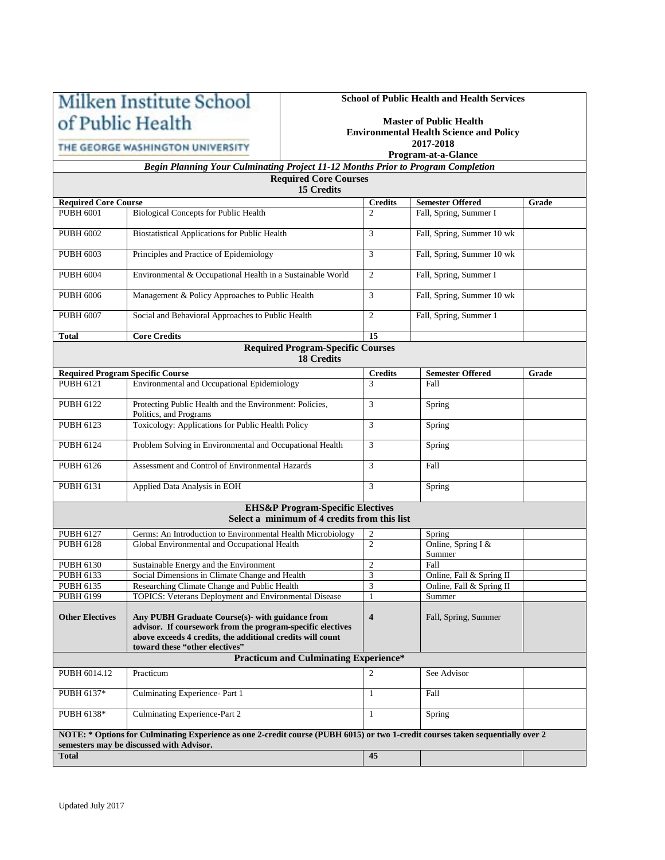# Milken Institute School of Public Health

# THE GEORGE WASHINGTON UNIVERSITY

# **School of Public Health and Health Services**

#### **Master of Public Health Environmental Health Science and Policy 2017-2018**

### **Program-at-a-Glance**

*Begin Planning Your Culminating Project 11-12 Months Prior to Program Completion* **Required Core Courses**

**15 Credits**

| <b>Required Core Course</b>                                                                                                     |                                                                                                                                                                                                               | <b>Credits</b>          | <b>Semester Offered</b>      | Grade |  |  |  |  |  |
|---------------------------------------------------------------------------------------------------------------------------------|---------------------------------------------------------------------------------------------------------------------------------------------------------------------------------------------------------------|-------------------------|------------------------------|-------|--|--|--|--|--|
| <b>PUBH 6001</b>                                                                                                                | <b>Biological Concepts for Public Health</b>                                                                                                                                                                  | $\overline{c}$          | Fall, Spring, Summer I       |       |  |  |  |  |  |
| <b>PUBH 6002</b>                                                                                                                | <b>Biostatistical Applications for Public Health</b>                                                                                                                                                          | 3                       | Fall, Spring, Summer 10 wk   |       |  |  |  |  |  |
| <b>PUBH 6003</b>                                                                                                                | Principles and Practice of Epidemiology                                                                                                                                                                       | 3                       | Fall, Spring, Summer 10 wk   |       |  |  |  |  |  |
| <b>PUBH 6004</b>                                                                                                                | Environmental & Occupational Health in a Sustainable World                                                                                                                                                    | 2                       | Fall, Spring, Summer I       |       |  |  |  |  |  |
| PUBH 6006                                                                                                                       | Management & Policy Approaches to Public Health                                                                                                                                                               | 3                       | Fall, Spring, Summer 10 wk   |       |  |  |  |  |  |
| <b>PUBH 6007</b>                                                                                                                | Social and Behavioral Approaches to Public Health                                                                                                                                                             | $\overline{2}$          | Fall, Spring, Summer 1       |       |  |  |  |  |  |
| <b>Total</b>                                                                                                                    | <b>Core Credits</b>                                                                                                                                                                                           | 15                      |                              |       |  |  |  |  |  |
| <b>Required Program-Specific Courses</b><br><b>18 Credits</b>                                                                   |                                                                                                                                                                                                               |                         |                              |       |  |  |  |  |  |
|                                                                                                                                 | <b>Required Program Specific Course</b>                                                                                                                                                                       | <b>Credits</b>          | <b>Semester Offered</b>      | Grade |  |  |  |  |  |
| <b>PUBH 6121</b>                                                                                                                | Environmental and Occupational Epidemiology                                                                                                                                                                   | 3                       | Fall                         |       |  |  |  |  |  |
| <b>PUBH 6122</b>                                                                                                                | Protecting Public Health and the Environment: Policies,<br>Politics, and Programs                                                                                                                             | 3                       | Spring                       |       |  |  |  |  |  |
| <b>PUBH 6123</b>                                                                                                                | Toxicology: Applications for Public Health Policy                                                                                                                                                             | 3                       | Spring                       |       |  |  |  |  |  |
| PUBH 6124                                                                                                                       | Problem Solving in Environmental and Occupational Health                                                                                                                                                      | $\mathfrak{Z}$          | Spring                       |       |  |  |  |  |  |
| PUBH 6126                                                                                                                       | Assessment and Control of Environmental Hazards                                                                                                                                                               | 3                       | Fall                         |       |  |  |  |  |  |
| PUBH 6131                                                                                                                       | Applied Data Analysis in EOH                                                                                                                                                                                  | 3                       | Spring                       |       |  |  |  |  |  |
|                                                                                                                                 | <b>EHS&amp;P Program-Specific Electives</b><br>Select a minimum of 4 credits from this list                                                                                                                   |                         |                              |       |  |  |  |  |  |
| <b>PUBH 6127</b>                                                                                                                | Germs: An Introduction to Environmental Health Microbiology                                                                                                                                                   | $\overline{2}$          | Spring                       |       |  |  |  |  |  |
| <b>PUBH 6128</b>                                                                                                                | Global Environmental and Occupational Health                                                                                                                                                                  | $\overline{2}$          | Online, Spring I &<br>Summer |       |  |  |  |  |  |
| <b>PUBH 6130</b>                                                                                                                | Sustainable Energy and the Environment                                                                                                                                                                        | $\overline{2}$          | Fall                         |       |  |  |  |  |  |
| PUBH 6133                                                                                                                       | Social Dimensions in Climate Change and Health                                                                                                                                                                | $\mathfrak{Z}$          | Online, Fall & Spring II     |       |  |  |  |  |  |
| PUBH 6135                                                                                                                       | Researching Climate Change and Public Health                                                                                                                                                                  | 3                       | Online, Fall & Spring II     |       |  |  |  |  |  |
| PUBH 6199                                                                                                                       | TOPICS: Veterans Deployment and Environmental Disease                                                                                                                                                         | $\mathbf{1}$            | Summer                       |       |  |  |  |  |  |
| <b>Other Electives</b>                                                                                                          | Any PUBH Graduate Course(s)- with guidance from<br>advisor. If coursework from the program-specific electives<br>above exceeds 4 credits, the additional credits will count<br>toward these "other electives" | $\overline{\mathbf{4}}$ | Fall, Spring, Summer         |       |  |  |  |  |  |
|                                                                                                                                 | <b>Practicum and Culminating Experience*</b>                                                                                                                                                                  |                         |                              |       |  |  |  |  |  |
| PUBH 6014.12                                                                                                                    | Practicum                                                                                                                                                                                                     | $\overline{c}$          | See Advisor                  |       |  |  |  |  |  |
| PUBH 6137*                                                                                                                      | Culminating Experience- Part 1                                                                                                                                                                                | $\mathbf{1}$            | Fall                         |       |  |  |  |  |  |
| PUBH 6138*                                                                                                                      | Culminating Experience-Part 2                                                                                                                                                                                 | $\mathbf{1}$            | Spring                       |       |  |  |  |  |  |
| NOTE: * Options for Culminating Experience as one 2-credit course (PUBH 6015) or two 1-credit courses taken sequentially over 2 |                                                                                                                                                                                                               |                         |                              |       |  |  |  |  |  |
|                                                                                                                                 | semesters may be discussed with Advisor.                                                                                                                                                                      |                         |                              |       |  |  |  |  |  |
| <b>Total</b>                                                                                                                    |                                                                                                                                                                                                               | 45                      |                              |       |  |  |  |  |  |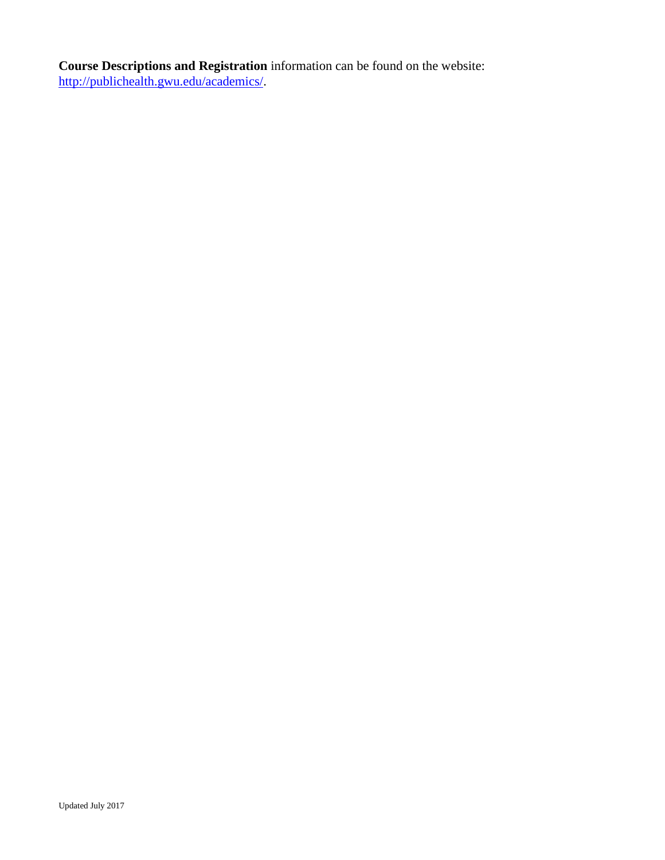**Course Descriptions and Registration** information can be found on the website: [http://publichealth.gwu.edu/academics/.](http://publichealth.gwu.edu/academics/)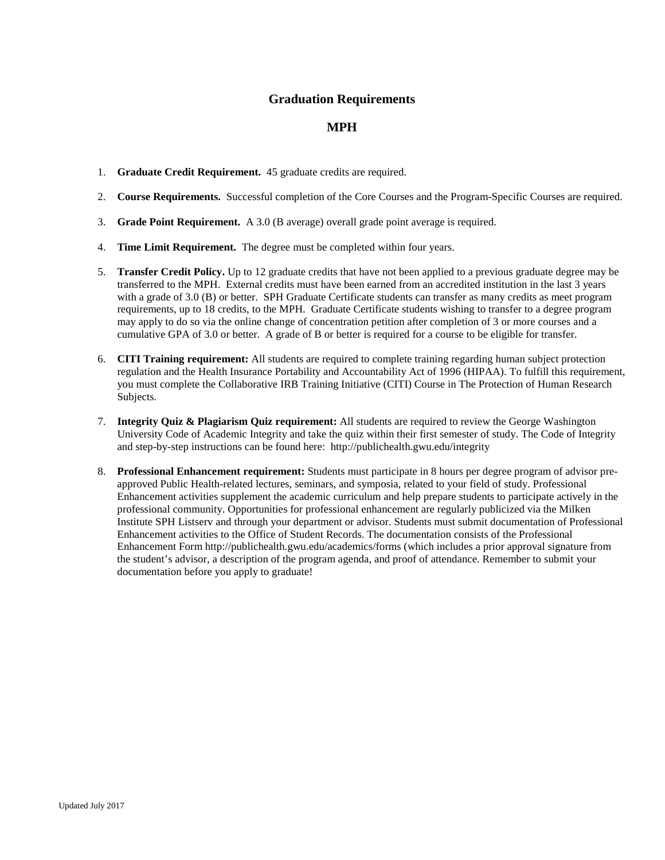# **Graduation Requirements**

# **MPH**

- 1. **Graduate Credit Requirement.** 45 graduate credits are required.
- 2. **Course Requirements.** Successful completion of the Core Courses and the Program-Specific Courses are required.
- 3. **Grade Point Requirement.** A 3.0 (B average) overall grade point average is required.
- 4. **Time Limit Requirement.** The degree must be completed within four years.
- 5. **Transfer Credit Policy.** Up to 12 graduate credits that have not been applied to a previous graduate degree may be transferred to the MPH. External credits must have been earned from an accredited institution in the last 3 years with a grade of 3.0 (B) or better. SPH Graduate Certificate students can transfer as many credits as meet program requirements, up to 18 credits, to the MPH. Graduate Certificate students wishing to transfer to a degree program may apply to do so via the online change of concentration petition after completion of 3 or more courses and a cumulative GPA of 3.0 or better. A grade of B or better is required for a course to be eligible for transfer.
- 6. **CITI Training requirement:** All students are required to complete training regarding human subject protection regulation and the Health Insurance Portability and Accountability Act of 1996 (HIPAA). To fulfill this requirement, you must complete the Collaborative IRB Training Initiative (CITI) Course in The Protection of Human Research Subjects.
- 7. **Integrity Quiz & Plagiarism Quiz requirement:** All students are required to review the George Washington University Code of Academic Integrity and take the quiz within their first semester of study. The Code of Integrity and step-by-step instructions can be found here: http://publichealth.gwu.edu/integrity
- 8. **Professional Enhancement requirement:** Students must participate in 8 hours per degree program of advisor preapproved Public Health-related lectures, seminars, and symposia, related to your field of study. Professional Enhancement activities supplement the academic curriculum and help prepare students to participate actively in the professional community. Opportunities for professional enhancement are regularly publicized via the Milken Institute SPH Listserv and through your department or advisor. Students must submit documentation of Professional Enhancement activities to the Office of Student Records. The documentation consists of the Professional Enhancement Form http://publichealth.gwu.edu/academics/forms (which includes a prior approval signature from the student's advisor, a description of the program agenda, and proof of attendance. Remember to submit your documentation before you apply to graduate!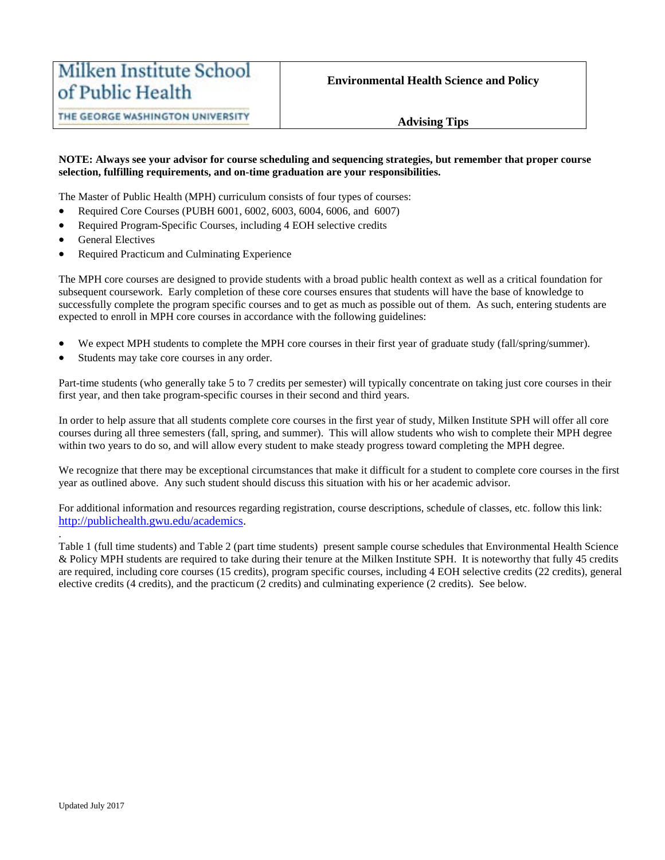# **Advising Tips**

#### **NOTE: Always see your advisor for course scheduling and sequencing strategies, but remember that proper course selection, fulfilling requirements, and on-time graduation are your responsibilities.**

The Master of Public Health (MPH) curriculum consists of four types of courses:

- Required Core Courses (PUBH 6001, 6002, 6003, 6004, 6006, and 6007)
- Required Program-Specific Courses, including 4 EOH selective credits
- General Electives
- Required Practicum and Culminating Experience

The MPH core courses are designed to provide students with a broad public health context as well as a critical foundation for subsequent coursework. Early completion of these core courses ensures that students will have the base of knowledge to successfully complete the program specific courses and to get as much as possible out of them. As such, entering students are expected to enroll in MPH core courses in accordance with the following guidelines:

- We expect MPH students to complete the MPH core courses in their first year of graduate study (fall/spring/summer).
- Students may take core courses in any order.

Part-time students (who generally take 5 to 7 credits per semester) will typically concentrate on taking just core courses in their first year, and then take program-specific courses in their second and third years.

In order to help assure that all students complete core courses in the first year of study, Milken Institute SPH will offer all core courses during all three semesters (fall, spring, and summer). This will allow students who wish to complete their MPH degree within two years to do so, and will allow every student to make steady progress toward completing the MPH degree.

We recognize that there may be exceptional circumstances that make it difficult for a student to complete core courses in the first year as outlined above. Any such student should discuss this situation with his or her academic advisor.

For additional information and resources regarding registration, course descriptions, schedule of classes, etc. follow this link: [http://publichealth.gwu.edu/academics.](http://publichealth.gwu.edu/academics)

Table 1 (full time students) and Table 2 (part time students) present sample course schedules that Environmental Health Science & Policy MPH students are required to take during their tenure at the Milken Institute SPH. It is noteworthy that fully 45 credits are required, including core courses (15 credits), program specific courses, including 4 EOH selective credits (22 credits), general elective credits (4 credits), and the practicum (2 credits) and culminating experience (2 credits). See below.

.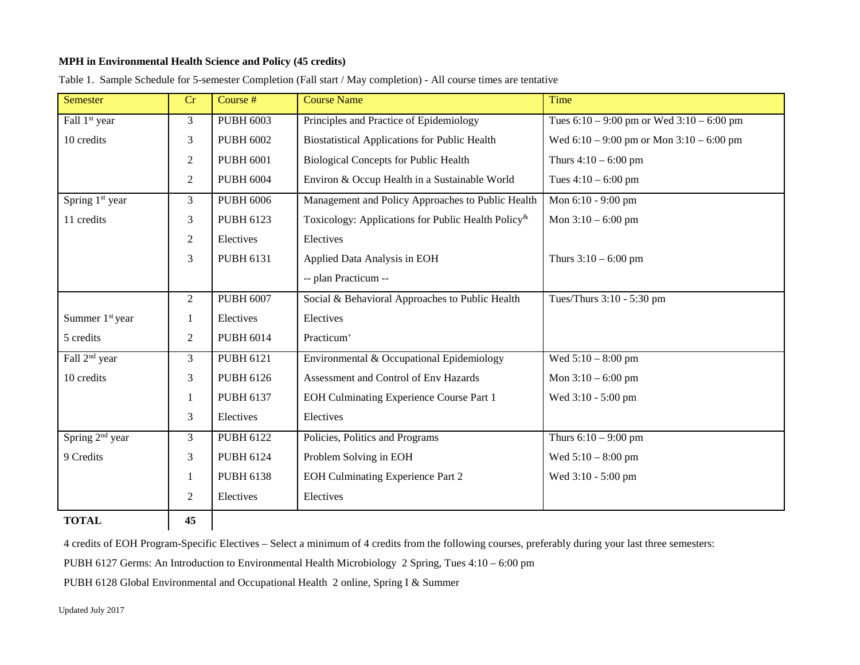# **MPH in Environmental Health Science and Policy (45 credits)**

| Semester                    | Cr             | Course #         | <b>Course Name</b>                                                 | Time                                          |
|-----------------------------|----------------|------------------|--------------------------------------------------------------------|-----------------------------------------------|
| Fall 1 <sup>st</sup> year   | 3              | <b>PUBH 6003</b> | Principles and Practice of Epidemiology                            | Tues $6:10 - 9:00$ pm or Wed $3:10 - 6:00$ pm |
| 10 credits                  | 3              | <b>PUBH 6002</b> | <b>Biostatistical Applications for Public Health</b>               | Wed $6:10 - 9:00$ pm or Mon $3:10 - 6:00$ pm  |
|                             | 2              | <b>PUBH 6001</b> | <b>Biological Concepts for Public Health</b>                       | Thurs $4:10 - 6:00$ pm                        |
|                             | 2              | <b>PUBH 6004</b> | Environ & Occup Health in a Sustainable World                      | Tues $4:10 - 6:00$ pm                         |
| Spring 1 <sup>st</sup> year | 3              | <b>PUBH 6006</b> | Management and Policy Approaches to Public Health                  | Mon 6:10 - 9:00 pm                            |
| 11 credits                  | 3              | <b>PUBH 6123</b> | Toxicology: Applications for Public Health Policy <sup>&amp;</sup> | Mon $3:10 - 6:00$ pm                          |
|                             | $\overline{2}$ | Electives        | Electives                                                          |                                               |
|                             | 3              | <b>PUBH 6131</b> | Applied Data Analysis in EOH                                       | Thurs $3:10 - 6:00$ pm                        |
|                             |                |                  | -- plan Practicum --                                               |                                               |
|                             | 2              | <b>PUBH 6007</b> | Social & Behavioral Approaches to Public Health                    | Tues/Thurs 3:10 - 5:30 pm                     |
| Summer 1 <sup>st</sup> year | 1              | Electives        | Electives                                                          |                                               |
| 5 credits                   | $\overline{2}$ | <b>PUBH 6014</b> | Practicum <sup>+</sup>                                             |                                               |
| Fall 2 <sup>nd</sup> year   | 3              | <b>PUBH 6121</b> | Environmental & Occupational Epidemiology                          | Wed $5:10 - 8:00$ pm                          |
| 10 credits                  | 3              | <b>PUBH 6126</b> | Assessment and Control of Env Hazards                              | Mon $3:10 - 6:00$ pm                          |
|                             | 1              | <b>PUBH 6137</b> | EOH Culminating Experience Course Part 1                           | Wed 3:10 - 5:00 pm                            |
|                             | 3              | Electives        | Electives                                                          |                                               |
| Spring 2 <sup>nd</sup> year | 3              | <b>PUBH 6122</b> | Policies, Politics and Programs                                    | Thurs $6:10 - 9:00$ pm                        |
| 9 Credits                   | 3              | <b>PUBH 6124</b> | Problem Solving in EOH                                             | Wed $5:10 - 8:00$ pm                          |
|                             | 1              | <b>PUBH 6138</b> | <b>EOH Culminating Experience Part 2</b>                           | Wed 3:10 - 5:00 pm                            |
|                             | 2              | Electives        | Electives                                                          |                                               |
| <b>TOTAL</b>                | 45             |                  |                                                                    |                                               |

Table 1. Sample Schedule for 5-semester Completion (Fall start / May completion) - All course times are tentative

4 credits of EOH Program-Specific Electives – Select a minimum of 4 credits from the following courses, preferably during your last three semesters:

PUBH 6127 Germs: An Introduction to Environmental Health Microbiology 2 Spring, Tues 4:10 – 6:00 pm

PUBH 6128 Global Environmental and Occupational Health 2 online, Spring I & Summer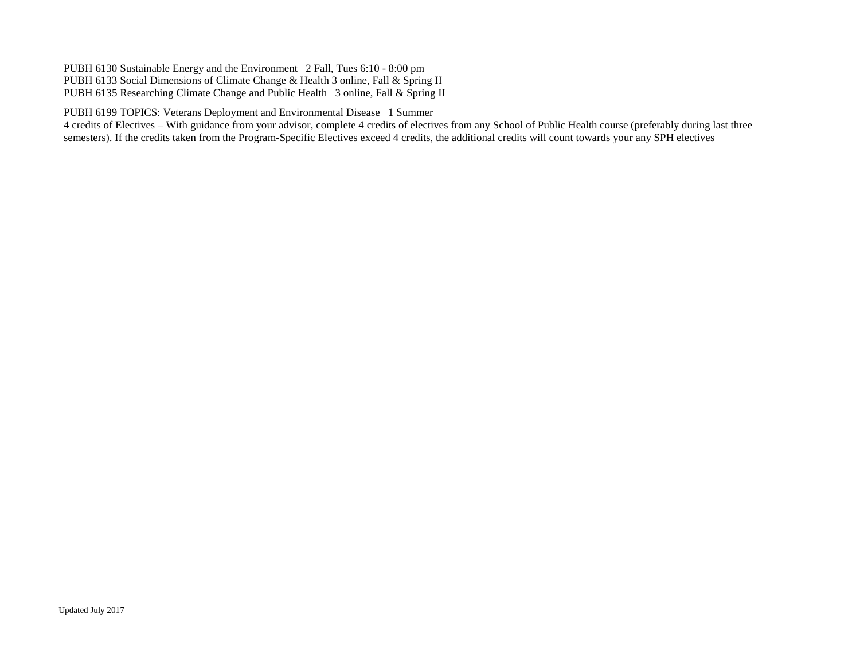PUBH 6130 Sustainable Energy and the Environment 2 Fall, Tues 6:10 - 8:00 pm PUBH 6133 Social Dimensions of Climate Change & Health 3 online, Fall & Spring II PUBH 6135 Researching Climate Change and Public Health 3 online, Fall & Spring II

PUBH 6199 TOPICS: Veterans Deployment and Environmental Disease 1 Summer

4 credits of Electives – With guidance from your advisor, complete 4 credits of electives from any School of Public Health course (preferably during last three semesters). If the credits taken from the Program-Specific Electives exceed 4 credits, the additional credits will count towards your any SPH electives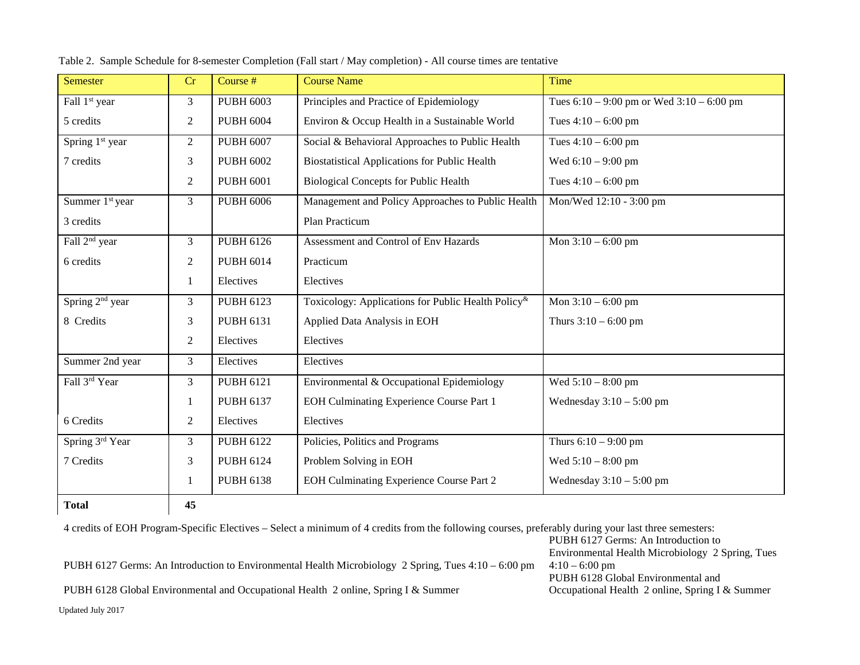| Semester                    | Cr             | Course #         | <b>Course Name</b>                                                 | Time                                          |
|-----------------------------|----------------|------------------|--------------------------------------------------------------------|-----------------------------------------------|
| Fall 1 <sup>st</sup> year   | $\mathfrak{Z}$ | <b>PUBH 6003</b> | Principles and Practice of Epidemiology                            | Tues $6:10 - 9:00$ pm or Wed $3:10 - 6:00$ pm |
| 5 credits                   | 2              | <b>PUBH 6004</b> | Environ & Occup Health in a Sustainable World                      | Tues $4:10 - 6:00$ pm                         |
| Spring 1 <sup>st</sup> year | $\overline{2}$ | <b>PUBH 6007</b> | Social & Behavioral Approaches to Public Health                    | Tues $4:10 - 6:00$ pm                         |
| 7 credits                   | 3              | <b>PUBH 6002</b> | <b>Biostatistical Applications for Public Health</b>               | Wed $6:10 - 9:00$ pm                          |
|                             | $\mathfrak{2}$ | <b>PUBH 6001</b> | <b>Biological Concepts for Public Health</b>                       | Tues $4:10 - 6:00$ pm                         |
| Summer 1 <sup>st</sup> year | 3              | <b>PUBH 6006</b> | Management and Policy Approaches to Public Health                  | Mon/Wed 12:10 - 3:00 pm                       |
| 3 credits                   |                |                  | Plan Practicum                                                     |                                               |
| Fall 2 <sup>nd</sup> year   | $\overline{3}$ | <b>PUBH 6126</b> | Assessment and Control of Env Hazards                              | Mon $3:10 - 6:00$ pm                          |
| 6 credits                   | 2              | <b>PUBH 6014</b> | Practicum                                                          |                                               |
|                             | 1              | Electives        | Electives                                                          |                                               |
| Spring 2 <sup>nd</sup> year | $\mathfrak{Z}$ | <b>PUBH 6123</b> | Toxicology: Applications for Public Health Policy <sup>&amp;</sup> | Mon $3:10 - 6:00$ pm                          |
| 8 Credits                   | 3              | <b>PUBH 6131</b> | Applied Data Analysis in EOH                                       | Thurs $3:10 - 6:00$ pm                        |
|                             | 2              | Electives        | Electives                                                          |                                               |
| Summer 2nd year             | 3              | Electives        | Electives                                                          |                                               |
| Fall 3rd Year               | $\overline{3}$ | <b>PUBH 6121</b> | Environmental & Occupational Epidemiology                          | Wed $5:10 - 8:00$ pm                          |
|                             | 1              | <b>PUBH 6137</b> | EOH Culminating Experience Course Part 1                           | Wednesday $3:10-5:00$ pm                      |
| 6 Credits                   | 2              | Electives        | Electives                                                          |                                               |
| Spring 3rd Year             | $\overline{3}$ | <b>PUBH 6122</b> | Policies, Politics and Programs                                    | Thurs $6:10 - 9:00$ pm                        |
| 7 Credits                   | 3              | <b>PUBH 6124</b> | Problem Solving in EOH                                             | Wed $5:10 - 8:00$ pm                          |
|                             | -1             | <b>PUBH 6138</b> | EOH Culminating Experience Course Part 2                           | Wednesday $3:10-5:00$ pm                      |
| <b>Total</b>                | 45             |                  |                                                                    |                                               |

Table 2. Sample Schedule for 8-semester Completion (Fall start / May completion) - All course times are tentative

Updated July 2017 4 credits of EOH Program-Specific Electives – Select a minimum of 4 credits from the following courses, preferably during your last three semesters: PUBH 6127 Germs: An Introduction to Environmental Health Microbiology 2 Spring, Tues 4:10 – 6:00 pm PUBH 6127 Germs: An Introduction to Environmental Health Microbiology 2 Spring, Tues 4:10 – 6:00 pm PUBH 6128 Global Environmental and Occupational Health 2 online, Spring I & Summer PUBH 6128 Global Environmental and Occupational Health 2 online, Spring I & Summer